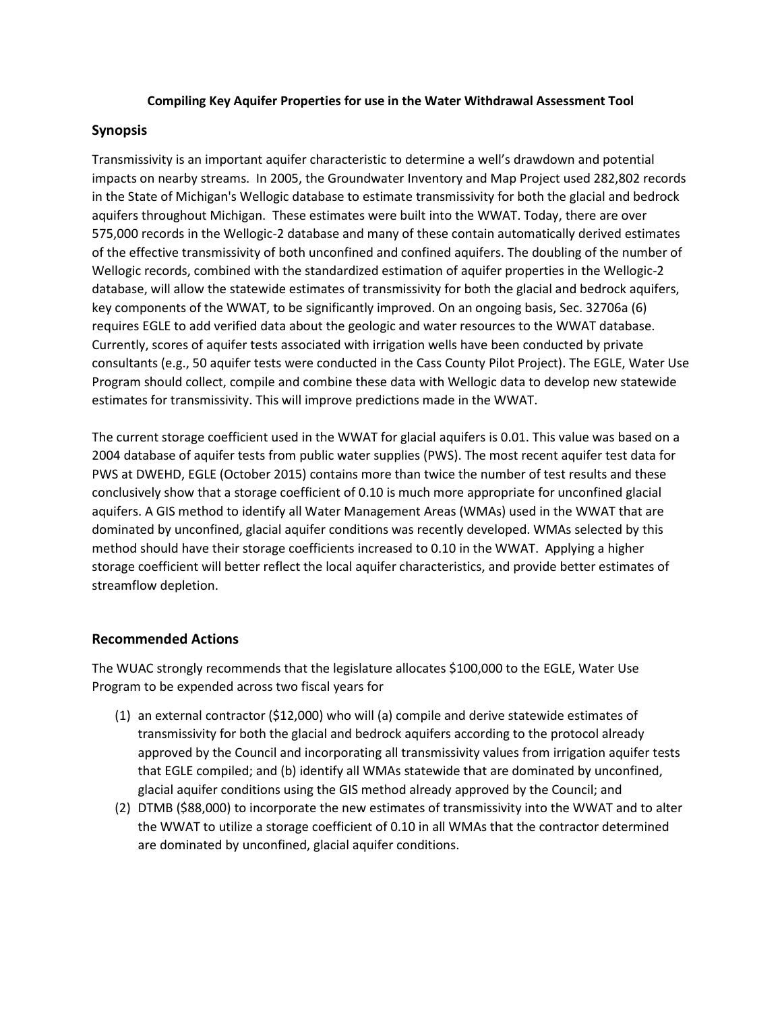#### **Compiling Key Aquifer Properties for use in the Water Withdrawal Assessment Tool**

### **Synopsis**

Transmissivity is an important aquifer characteristic to determine a well's drawdown and potential impacts on nearby streams. In 2005, the Groundwater Inventory and Map Project used 282,802 records in the State of Michigan's Wellogic database to estimate transmissivity for both the glacial and bedrock aquifers throughout Michigan. These estimates were built into the WWAT. Today, there are over 575,000 records in the Wellogic-2 database and many of these contain automatically derived estimates of the effective transmissivity of both unconfined and confined aquifers. The doubling of the number of Wellogic records, combined with the standardized estimation of aquifer properties in the Wellogic-2 database, will allow the statewide estimates of transmissivity for both the glacial and bedrock aquifers, key components of the WWAT, to be significantly improved. On an ongoing basis, Sec. 32706a (6) requires EGLE to add verified data about the geologic and water resources to the WWAT database. Currently, scores of aquifer tests associated with irrigation wells have been conducted by private consultants (e.g., 50 aquifer tests were conducted in the Cass County Pilot Project). The EGLE, Water Use Program should collect, compile and combine these data with Wellogic data to develop new statewide estimates for transmissivity. This will improve predictions made in the WWAT.

The current storage coefficient used in the WWAT for glacial aquifers is 0.01. This value was based on a 2004 database of aquifer tests from public water supplies (PWS). The most recent aquifer test data for PWS at DWEHD, EGLE (October 2015) contains more than twice the number of test results and these conclusively show that a storage coefficient of 0.10 is much more appropriate for unconfined glacial aquifers. A GIS method to identify all Water Management Areas (WMAs) used in the WWAT that are dominated by unconfined, glacial aquifer conditions was recently developed. WMAs selected by this method should have their storage coefficients increased to 0.10 in the WWAT. Applying a higher storage coefficient will better reflect the local aquifer characteristics, and provide better estimates of streamflow depletion.

#### **Recommended Actions**

The WUAC strongly recommends that the legislature allocates \$100,000 to the EGLE, Water Use Program to be expended across two fiscal years for

- (1) an external contractor (\$12,000) who will (a) compile and derive statewide estimates of transmissivity for both the glacial and bedrock aquifers according to the protocol already approved by the Council and incorporating all transmissivity values from irrigation aquifer tests that EGLE compiled; and (b) identify all WMAs statewide that are dominated by unconfined, glacial aquifer conditions using the GIS method already approved by the Council; and
- (2) DTMB (\$88,000) to incorporate the new estimates of transmissivity into the WWAT and to alter the WWAT to utilize a storage coefficient of 0.10 in all WMAs that the contractor determined are dominated by unconfined, glacial aquifer conditions.